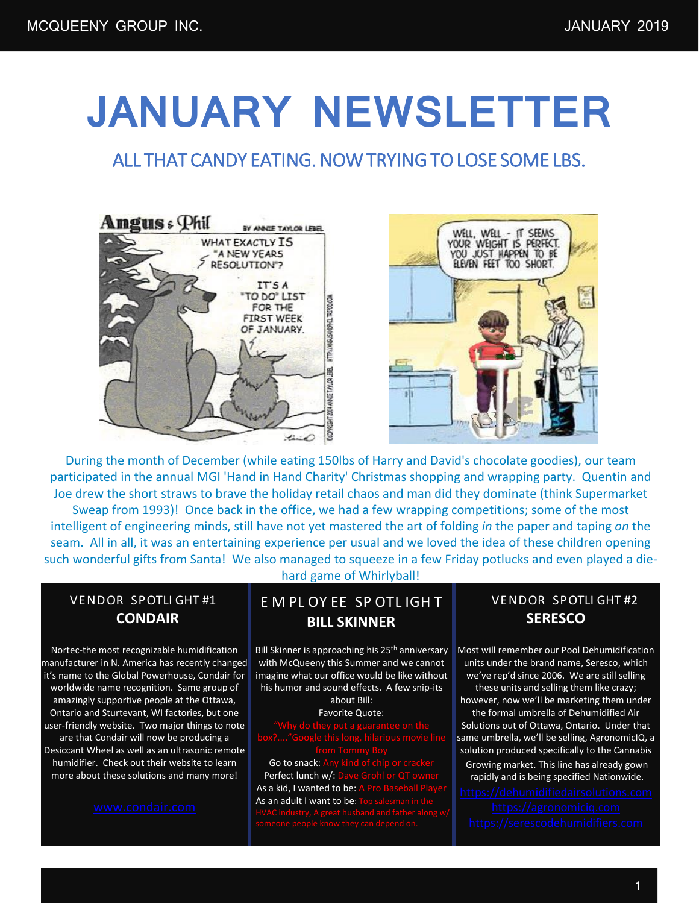# **JANUARY NEWSLETTER**

## ALL THAT CANDY EATING. NOW TRYING TO LOSE SOME LBS.





During the month of December (while eating 150lbs of Harry and David's chocolate goodies), our team participated in the annual MGI 'Hand in Hand Charity' Christmas shopping and wrapping party. Quentin and Joe drew the short straws to brave the holiday retail chaos and man did they dominate (think Supermarket Sweap from 1993)! Once back in the office, we had a few wrapping competitions; some of the most intelligent of engineering minds, still have not yet mastered the art of folding *in* the paper and taping *on* the seam. All in all, it was an entertaining experience per usual and we loved the idea of these children opening such wonderful gifts from Santa! We also managed to squeeze in a few Friday potlucks and even played a die-

#### VENDOR SPOTLI GHT #1 **CONDAIR**

Nortec-the most recognizable humidification manufacturer in N. America has recently changed it's name to the Global Powerhouse, Condair for worldwide name recognition. Same group of amazingly supportive people at the Ottawa, Ontario and Sturtevant, WI factories, but one user-friendly website. Two major things to note are that Condair will now be producing a Desiccant Wheel as well as an ultrasonic remote

humidifier. Check out their website to learn more about these solutions and many more!

hard game of Whirlyball!

### E M PL OY EE SP OTL IGH T **BILL SKINNER**

Bill Skinner is approaching his 25<sup>th</sup> anniversary with McQueeny this Summer and we cannot imagine what our office would be like without his humor and sound effects. A few snip-its about Bill:

Favorite Quote:

Go to snack: Perfect lunch w/: As a kid, I wanted to be: As an adult I want to be:

#### VENDOR SPOTLI GHT #2 **SERESCO**

Most will remember our Pool Dehumidification units under the brand name, Seresco, which we've rep'd since 2006. We are still selling these units and selling them like crazy; however, now we'll be marketing them under the formal umbrella of Dehumidified Air Solutions out of Ottawa, Ontario. Under that same umbrella, we'll be selling, AgronomicIQ, a solution produced specifically to the Cannabis Growing market. This line has already gown rapidly and is being specified Nationwide.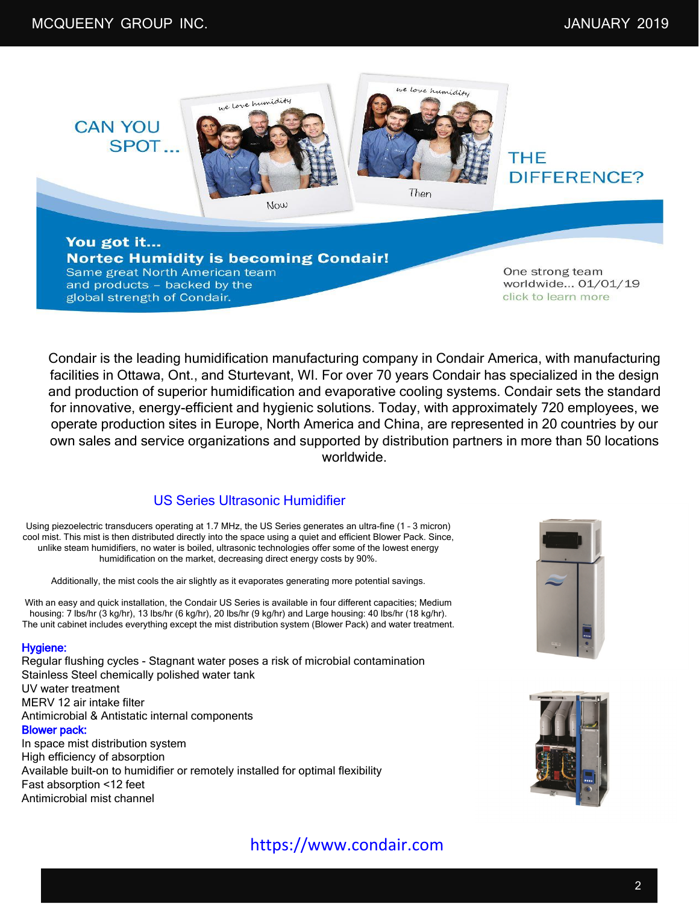

You got it... **Nortec Humidity is becoming Condair!** Same great North American team and products - backed by the global strength of Condair.

One strong team worldwide... 01/01/19 click to learn more

Condair is the leading humidification manufacturing company in Condair America, with manufacturing facilities in Ottawa, Ont., and Sturtevant, WI. For over 70 years Condair has specialized in the design and production of superior humidification and evaporative cooling systems. Condair sets the standard for innovative, energy-efficient and hygienic solutions. Today, with approximately 720 employees, we operate production sites in Europe, North America and China, are represented in 20 countries by our own sales and service organizations and supported by distribution partners in more than 50 locations worldwide.

#### US Series Ultrasonic Humidifier

Using piezoelectric transducers operating at 1.7 MHz, the US Series generates an ultra-fine (1 – 3 micron) cool mist. This mist is then distributed directly into the space using a quiet and efficient Blower Pack. Since, unlike steam humidifiers, no water is boiled, ultrasonic technologies offer some of the lowest energy humidification on the market, decreasing direct energy costs by 90%.

Additionally, the mist cools the air slightly as it evaporates generating more potential savings.

With an easy and quick installation, the Condair US Series is available in four different capacities; Medium housing: 7 lbs/hr (3 kg/hr), 13 lbs/hr (6 kg/hr), 20 lbs/hr (9 kg/hr) and Large housing: 40 lbs/hr (18 kg/hr). The unit cabinet includes everything except the mist distribution system (Blower Pack) and water treatment.

#### Hygiene:

Antimicrobial mist channel

Regular flushing cycles - Stagnant water poses a risk of microbial contamination Stainless Steel chemically polished water tank UV water treatment MERV 12 air intake filter Antimicrobial & Antistatic internal components Blower pack: In space mist distribution system High efficiency of absorption Available built-on to humidifier or remotely installed for optimal flexibility Fast absorption <12 feet





## https://www.condair.com